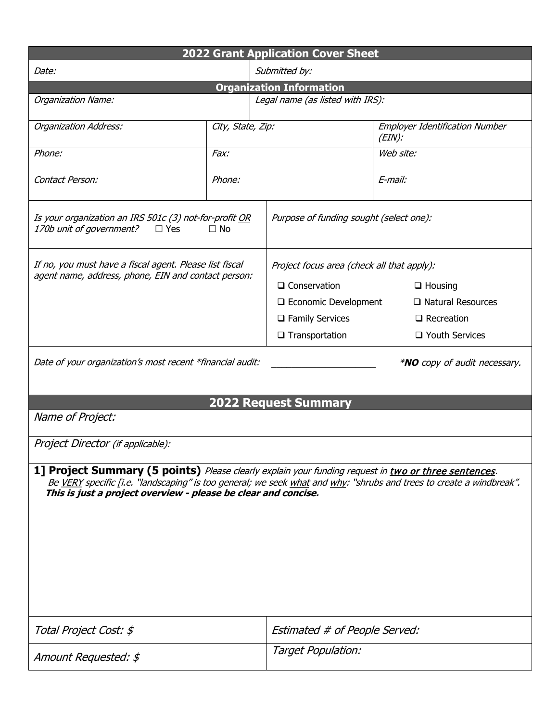| <b>2022 Grant Application Cover Sheet</b>                                                                                                                                                                                                                                                      |                   |                               |                                                    |  |  |  |  |
|------------------------------------------------------------------------------------------------------------------------------------------------------------------------------------------------------------------------------------------------------------------------------------------------|-------------------|-------------------------------|----------------------------------------------------|--|--|--|--|
| Date:                                                                                                                                                                                                                                                                                          |                   | Submitted by:                 |                                                    |  |  |  |  |
| <b>Organization Information</b>                                                                                                                                                                                                                                                                |                   |                               |                                                    |  |  |  |  |
| Organization Name:                                                                                                                                                                                                                                                                             |                   |                               | Legal name (as listed with IRS):                   |  |  |  |  |
| <b>Organization Address:</b>                                                                                                                                                                                                                                                                   | City, State, Zip: |                               | <b>Employer Identification Number</b><br>$(EIN)$ : |  |  |  |  |
| Phone:                                                                                                                                                                                                                                                                                         | Fax:              |                               | Web site:                                          |  |  |  |  |
| Contact Person:                                                                                                                                                                                                                                                                                | Phone:            |                               | E-mail:                                            |  |  |  |  |
| Is your organization an IRS 501c (3) not-for-profit <u>OR</u><br>170b unit of government?<br>$\Box$ Yes<br>$\Box$ No                                                                                                                                                                           |                   |                               | Purpose of funding sought (select one):            |  |  |  |  |
| If no, you must have a fiscal agent. Please list fiscal<br>agent name, address, phone, EIN and contact person:                                                                                                                                                                                 |                   |                               | Project focus area (check all that apply):         |  |  |  |  |
|                                                                                                                                                                                                                                                                                                |                   | $\Box$ Conservation           | $\Box$ Housing                                     |  |  |  |  |
|                                                                                                                                                                                                                                                                                                |                   | □ Economic Development        | $\Box$ Natural Resources                           |  |  |  |  |
|                                                                                                                                                                                                                                                                                                |                   | $\Box$ Family Services        | $\Box$ Recreation                                  |  |  |  |  |
|                                                                                                                                                                                                                                                                                                |                   | $\square$ Transportation      | □ Youth Services                                   |  |  |  |  |
| Date of your organization's most recent *financial audit:                                                                                                                                                                                                                                      |                   |                               | <i>*NO copy of audit necessary.</i>                |  |  |  |  |
| <b>2022 Request Summary</b>                                                                                                                                                                                                                                                                    |                   |                               |                                                    |  |  |  |  |
| Name of Project:                                                                                                                                                                                                                                                                               |                   |                               |                                                    |  |  |  |  |
| Project Director (if applicable):                                                                                                                                                                                                                                                              |                   |                               |                                                    |  |  |  |  |
| 1] Project Summary (5 points) Please clearly explain your funding request in two or three sentences.<br>Be VERY specific [i.e. "landscaping" is too general; we seek what and why: "shrubs and trees to create a windbreak".<br>This is just a project overview - please be clear and concise. |                   |                               |                                                    |  |  |  |  |
| Total Project Cost: \$                                                                                                                                                                                                                                                                         |                   | Estimated # of People Served: |                                                    |  |  |  |  |
| Amount Requested: \$                                                                                                                                                                                                                                                                           |                   | Target Population:            |                                                    |  |  |  |  |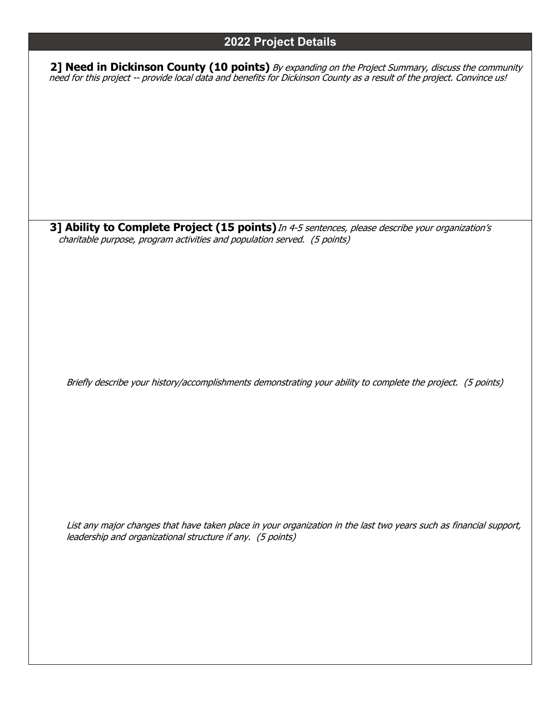#### **2022 Project Details**

**2] Need in Dickinson County (10 points)** By expanding on the Project Summary, discuss the community need for this project -- provide local data and benefits for Dickinson County as a result of the project. Convince us!

**3] Ability to Complete Project (15 points)**In 4-5 sentences, please describe your organization's charitable purpose, program activities and population served. (5 points)

Briefly describe your history/accomplishments demonstrating your ability to complete the project. (5 points)

List any major changes that have taken place in your organization in the last two years such as financial support, leadership and organizational structure if any. (5 points)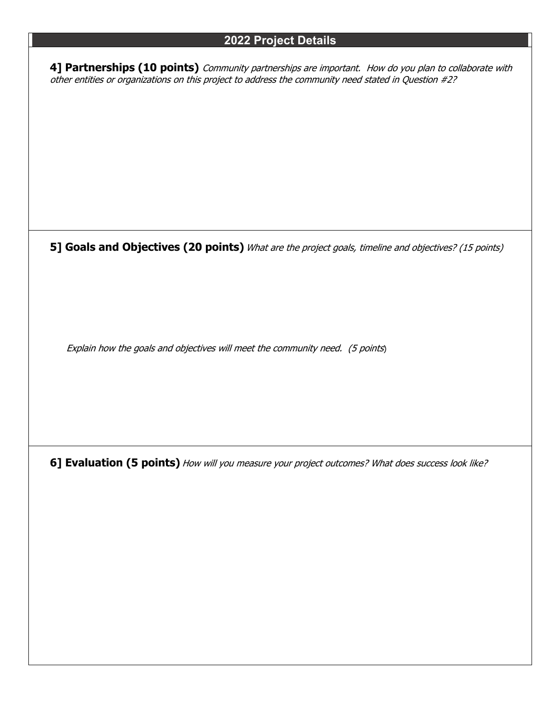#### **2022 Project Details**

**4] Partnerships (10 points)** Community partnerships are important. How do you plan to collaborate with other entities or organizations on this project to address the community need stated in Question #2?

**5] Goals and Objectives (20 points)** What are the project goals, timeline and objectives? (15 points)

Explain how the goals and objectives will meet the community need. (5 points)

**6] Evaluation (5 points)** How will you measure your project outcomes? What does success look like?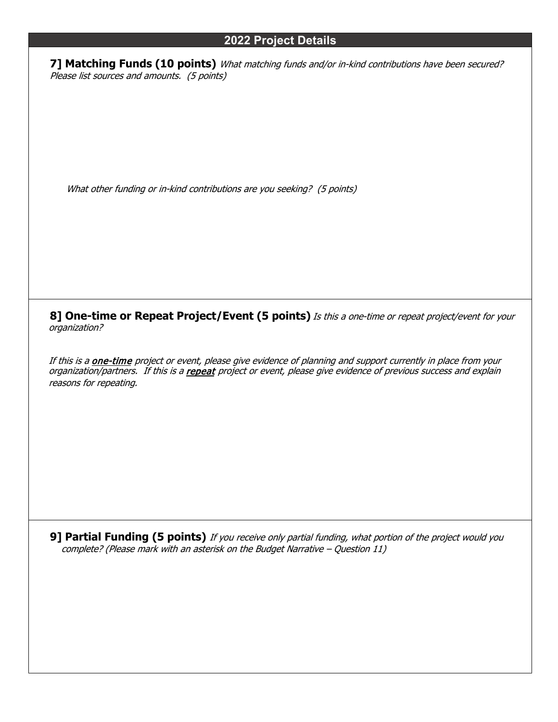#### **2022 Project Details**

**7] Matching Funds (10 points)** What matching funds and/or in-kind contributions have been secured? Please list sources and amounts. (5 points)

What other funding or in-kind contributions are you seeking? (5 points)

**8] One-time or Repeat Project/Event (5 points)** Is this a one-time or repeat project/event for your organization?

If this is a **one-time** project or event, please give evidence of planning and support currently in place from your organization/partners. If this is a repeat project or event, please give evidence of previous success and explain reasons for repeating.

**9] Partial Funding (5 points)** If you receive only partial funding, what portion of the project would you complete? (Please mark with an asterisk on the Budget Narrative – Question 11)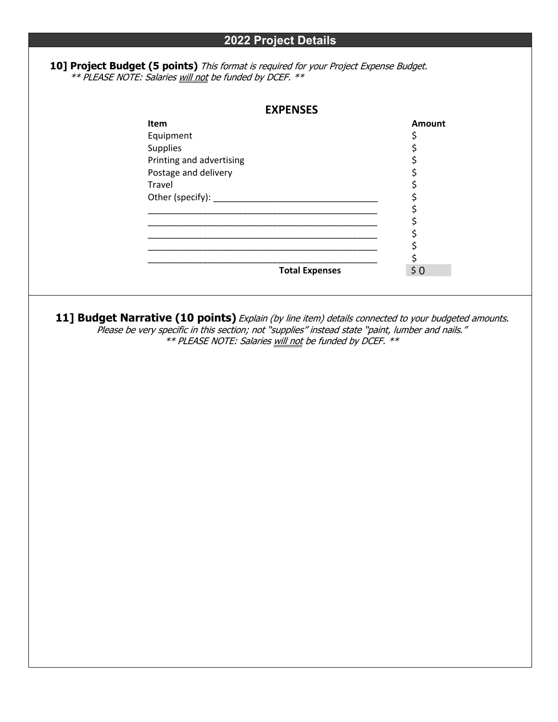#### **10] Project Budget (5 points)** This format is required for your Project Expense Budget. \*\* PLEASE NOTE: Salaries will not be funded by DCEF. \*\*

| Item<br>Equipment<br>Supplies<br>Printing and advertising<br>Postage and delivery<br>Travel<br>11] Budget Narrative (10 points) Explain (by line item) details connected to your budgeted amounts.<br>Please be very specific in this section; not "supplies" instead state "paint, lumber and nails."<br>** PLEASE NOTE: Salaries will not be funded by DCEF. ** | <u> 1989 - Johann John Stein, markin fan it ferskearre fan it ferskearre fan it ferskearre fan it ferskearre fan </u> | <b>Total Expenses</b> | \$<br>ややややややややや | <b>Amount</b><br>$$0$ |  |
|-------------------------------------------------------------------------------------------------------------------------------------------------------------------------------------------------------------------------------------------------------------------------------------------------------------------------------------------------------------------|-----------------------------------------------------------------------------------------------------------------------|-----------------------|-----------------|-----------------------|--|
|                                                                                                                                                                                                                                                                                                                                                                   |                                                                                                                       |                       |                 |                       |  |
|                                                                                                                                                                                                                                                                                                                                                                   |                                                                                                                       |                       |                 |                       |  |
|                                                                                                                                                                                                                                                                                                                                                                   |                                                                                                                       |                       |                 |                       |  |
|                                                                                                                                                                                                                                                                                                                                                                   |                                                                                                                       |                       |                 |                       |  |
|                                                                                                                                                                                                                                                                                                                                                                   |                                                                                                                       |                       |                 |                       |  |
|                                                                                                                                                                                                                                                                                                                                                                   |                                                                                                                       |                       |                 |                       |  |
|                                                                                                                                                                                                                                                                                                                                                                   |                                                                                                                       |                       |                 |                       |  |
|                                                                                                                                                                                                                                                                                                                                                                   |                                                                                                                       |                       |                 |                       |  |
|                                                                                                                                                                                                                                                                                                                                                                   |                                                                                                                       |                       |                 |                       |  |
|                                                                                                                                                                                                                                                                                                                                                                   |                                                                                                                       |                       |                 |                       |  |
|                                                                                                                                                                                                                                                                                                                                                                   |                                                                                                                       |                       |                 |                       |  |
|                                                                                                                                                                                                                                                                                                                                                                   |                                                                                                                       |                       |                 |                       |  |
|                                                                                                                                                                                                                                                                                                                                                                   |                                                                                                                       |                       |                 |                       |  |
|                                                                                                                                                                                                                                                                                                                                                                   |                                                                                                                       |                       |                 |                       |  |
|                                                                                                                                                                                                                                                                                                                                                                   |                                                                                                                       |                       |                 |                       |  |
|                                                                                                                                                                                                                                                                                                                                                                   |                                                                                                                       |                       |                 |                       |  |
|                                                                                                                                                                                                                                                                                                                                                                   |                                                                                                                       |                       |                 |                       |  |
|                                                                                                                                                                                                                                                                                                                                                                   |                                                                                                                       |                       |                 |                       |  |
|                                                                                                                                                                                                                                                                                                                                                                   |                                                                                                                       |                       |                 |                       |  |
|                                                                                                                                                                                                                                                                                                                                                                   |                                                                                                                       |                       |                 |                       |  |
|                                                                                                                                                                                                                                                                                                                                                                   |                                                                                                                       |                       |                 |                       |  |
|                                                                                                                                                                                                                                                                                                                                                                   |                                                                                                                       |                       |                 |                       |  |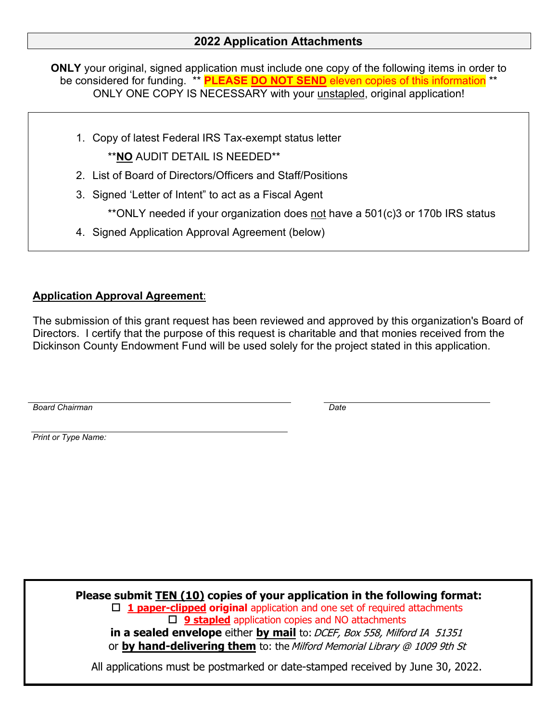### **2022 Application Attachments**

**ONLY** your original, signed application must include one copy of the following items in order to be considered for funding. \*\* **PLEASE DO NOT SEND** eleven copies of this information \*\* ONLY ONE COPY IS NECESSARY with your unstapled, original application!

- 1. Copy of latest Federal IRS Tax-exempt status letter \*\***NO** AUDIT DETAIL IS NEEDED\*\*
- 2. List of Board of Directors/Officers and Staff/Positions
- 3. Signed 'Letter of Intent" to act as a Fiscal Agent

\*\*ONLY needed if your organization does not have a 501(c)3 or 170b IRS status

4. Signed Application Approval Agreement (below)

### **Application Approval Agreement**:

The submission of this grant request has been reviewed and approved by this organization's Board of Directors. I certify that the purpose of this request is charitable and that monies received from the Dickinson County Endowment Fund will be used solely for the project stated in this application.

*Board Chairman*

*Date*

*Print or Type Name:*

**Please submit TEN (10) copies of your application in the following format: 1 paper-clipped original** application and one set of required attachments **9 stapled** application copies and NO attachments **in** a sealed envelope either by mail to: DCEF, Box 558, Milford IA 51351 or **by hand-delivering them** to: the Milford Memorial Library @ 1009 9th St

All applications must be postmarked or date-stamped received by June 30, 2022.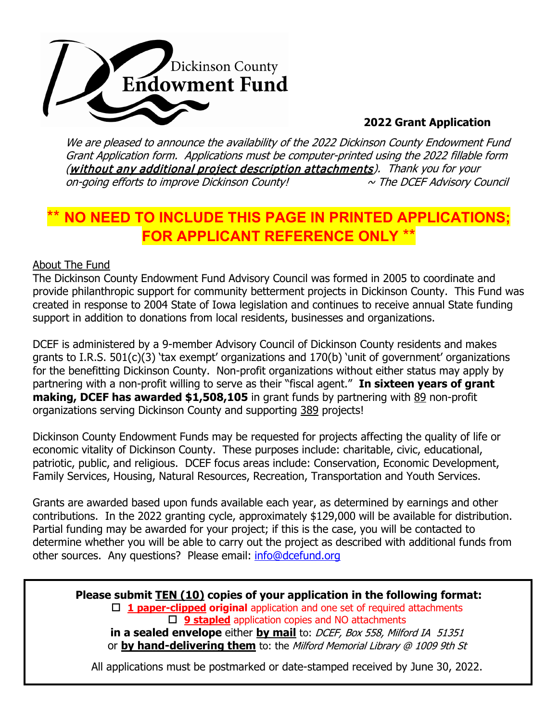

### **2022 Grant Application**

We are pleased to announce the availability of the 2022 Dickinson County Endowment Fund Grant Application form. Applications must be computer-printed using the 2022 fillable form (without any additional project description attachments). Thank you for your on-going efforts to improve Dickinson County!  $\sim$  The DCEF Advisory Council

### **NO NEED TO INCLUDE THIS PAGE IN PRINTED APPLICATIONS FOR APPLICANT REFERENCE ONLY** \*\*

#### About The Fund

The Dickinson County Endowment Fund Advisory Council was formed in 2005 to coordinate and provide philanthropic support for community betterment projects in Dickinson County. This Fund was created in response to 2004 State of Iowa legislation and continues to receive annual State funding support in addition to donations from local residents, businesses and organizations.

DCEF is administered by a 9-member Advisory Council of Dickinson County residents and makes grants to I.R.S. 501(c)(3) 'tax exempt' organizations and 170(b) 'unit of government' organizations for the benefitting Dickinson County. Non-profit organizations without either status may apply by partnering with a non-profit willing to serve as their "fiscal agent." **In sixteen years of grant making, DCEF has awarded \$1,508,105** in grant funds by partnering with 89 non-profit organizations serving Dickinson County and supporting 389 projects!

Dickinson County Endowment Funds may be requested for projects affecting the quality of life or economic vitality of Dickinson County. These purposes include: charitable, civic, educational, patriotic, public, and religious. DCEF focus areas include: Conservation, Economic Development, Family Services, Housing, Natural Resources, Recreation, Transportation and Youth Services.

Grants are awarded based upon funds available each year, as determined by earnings and other contributions. In the 2022 granting cycle, approximately \$129,000 will be available for distribution. Partial funding may be awarded for your project; if this is the case, you will be contacted to determine whether you will be able to carry out the project as described with additional funds from other sources. Any questions? Please email: [info@dcefund.org](mailto:info@dcefund.org)

**Please submit TEN (10) copies of your application in the following format: 1 paper-clipped original** application and one set of required attachments □ 9 **stapled** application copies and NO attachments **in a sealed envelope** either by mail to: DCEF, Box 558, Milford IA 51351 or **by hand-delivering them** to: the Milford Memorial Library @ 1009 9th St

All applications must be postmarked or date-stamped received by June 30, 2022.